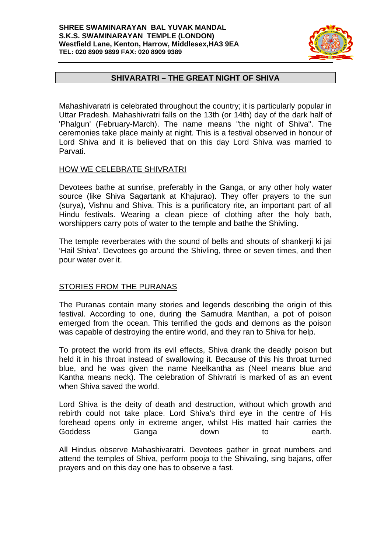#### **SHREE SWAMINARAYAN BAL YUVAK MANDAL S.K.S. SWAMINARAYAN TEMPLE (LONDON) Westfield Lane, Kenton, Harrow, Middlesex,HA3 9EA TEL: 020 8909 9899 FAX: 020 8909 9389**



# **SHIVARATRI – THE GREAT NIGHT OF SHIVA**

Mahashivaratri is celebrated throughout the country; it is particularly popular in Uttar Pradesh. Mahashivratri falls on the 13th (or 14th) day of the dark half of 'Phalgun' (February-March). The name means "the night of Shiva". The ceremonies take place mainly at night. This is a festival observed in honour of Lord Shiva and it is believed that on this day Lord Shiva was married to Parvati.

### HOW WE CELEBRATE SHIVRATRI

Devotees bathe at sunrise, preferably in the Ganga, or any other holy water source (like Shiva Sagartank at Khajurao). They offer prayers to the sun (surya), Vishnu and Shiva. This is a purificatory rite, an important part of all Hindu festivals. Wearing a clean piece of clothing after the holy bath, worshippers carry pots of water to the temple and bathe the Shivling.

The temple reverberates with the sound of bells and shouts of shankerji ki jai 'Hail Shiva'. Devotees go around the Shivling, three or seven times, and then pour water over it.

## STORIES FROM THE PURANAS

The Puranas contain many stories and legends describing the origin of this festival. According to one, during the Samudra Manthan, a pot of poison emerged from the ocean. This terrified the gods and demons as the poison was capable of destroying the entire world, and they ran to Shiva for help.

To protect the world from its evil effects, Shiva drank the deadly poison but held it in his throat instead of swallowing it. Because of this his throat turned blue, and he was given the name Neelkantha as (Neel means blue and Kantha means neck). The celebration of Shivratri is marked of as an event when Shiva saved the world.

Lord Shiva is the deity of death and destruction, without which growth and rebirth could not take place. Lord Shiva's third eye in the centre of His forehead opens only in extreme anger, whilst His matted hair carries the Goddess Ganga down to earth.

All Hindus observe Mahashivaratri. Devotees gather in great numbers and attend the temples of Shiva, perform pooja to the Shivaling, sing bajans, offer prayers and on this day one has to observe a fast.